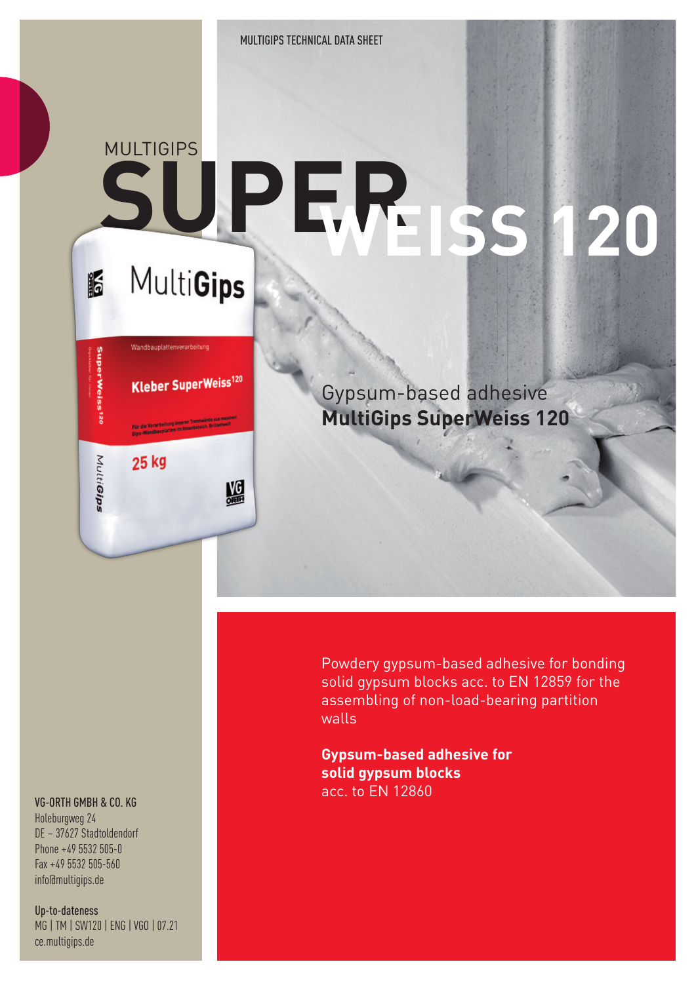MULTIGIPS TECHNICAL DATA SHEET

## **MULTIGIPS SUPER WEISS 120** MultiGips K

Wandbauplattenverarbeitung **Kleber SuperWeiss120** 

MG

Gypsum-based adhesive **MultiGips SuperWeiss 120**

Powdery gypsum-based adhesive for bonding solid gypsum blocks acc. to EN 12859 for the assembling of non-load-bearing partition walls

**Gypsum-based adhesive for solid gypsum blocks** acc. to EN 12860

## VG-ORTH GMBH & CO. KG

**SuperWeiss<sup>140</sup>** 

MultiGips

25 kg

Holeburgweg 24 DE – 37627 Stadtoldendorf Phone +49 5532 505-0 Fax +49 5532 505-560 info@multigips.de

Up-to-dateness MG | TM | SW120 | ENG | VGO | 07.21 ce.multigips.de